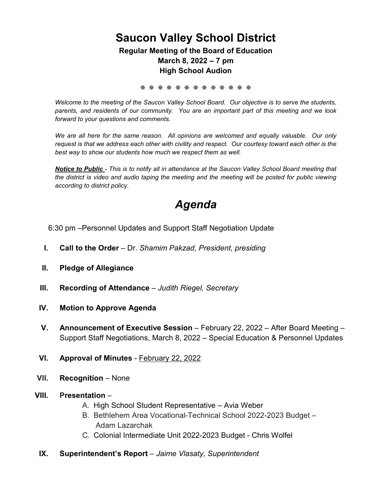### **Saucon Valley School District**

**Regular Meeting of the Board of Education March 8, 2022 – 7 pm High School Audion** 

✵ ✵ ✵ ✵ ✵ ✵ ✵ ✵ ✵ ✵ ✵ ✵ ✵

*Welcome to the meeting of the Saucon Valley School Board. Our objective is to serve the students, parents, and residents of our community. You are an important part of this meeting and we look forward to your questions and comments.*

*We are all here for the same reason. All opinions are welcomed and equally valuable. Our only request is that we address each other with civility and respect. Our courtesy toward each other is the best way to show our students how much we respect them as well.*

*Notice to Public - This is to notify all in attendance at the Saucon Valley School Board meeting that the district is video and audio taping the meeting and the meeting will be posted for public viewing according to district policy.*

### *Agenda*

6:30 pm –Personnel Updates and Support Staff Negotiation Update

- **I. Call to the Order** Dr. *Shamim Pakzad, President, presiding*
- **II. Pledge of Allegiance**
- **III. Recording of Attendance** *Judith Riegel, Secretary*
- **IV. Motion to Approve Agenda**
- **V. Announcement of Executive Session** February 22, 2022 After Board Meeting Support Staff Negotiations, March 8, 2022 – Special Education & Personnel Updates
- **VI. Approval of Minutes** February 22, 2022
- **VII. Recognition** None
- **VIII. Presentation**
	- A. High School Student Representative Avia Weber
	- B. Bethlehem Area Vocational-Technical School 2022-2023 Budget Adam Lazarchak
	- C. Colonial Intermediate Unit 2022-2023 Budget Chris Wolfel
- **IX. Superintendent's Report** *Jaime Vlasaty, Superintendent*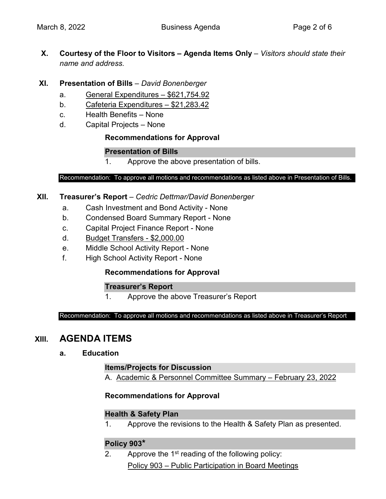**X. Courtesy of the Floor to Visitors – Agenda Items Only** – *Visitors should state their name and address.*

#### **XI. Presentation of Bills** – *David Bonenberger*

- a. General Expenditures \$621,754.92
- b. Cafeteria Expenditures \$21,283.42
- c. Health Benefits None
- d. Capital Projects None

#### **Recommendations for Approval**

#### **Presentation of Bills**

1. Approve the above presentation of bills.

#### Recommendation: To approve all motions and recommendations as listed above in Presentation of Bills.

#### **XII. Treasurer's Report** – *Cedric Dettmar/David Bonenberger*

- a. Cash Investment and Bond Activity None
- b. Condensed Board Summary Report None
- c. Capital Project Finance Report None
- d. Budget Transfers \$2,000.00
- e. Middle School Activity Report None
- f. High School Activity Report None

#### **Recommendations for Approval**

#### **Treasurer's Report**

1. Approve the above Treasurer's Report

Recommendation: To approve all motions and recommendations as listed above in Treasurer's Report

### **XIII. AGENDA ITEMS**

#### **a. Education**

#### **Items/Projects for Discussion**

A. Academic & Personnel Committee Summary – February 23, 2022

#### **Recommendations for Approval**

#### **Health & Safety Plan**

1. Approve the revisions to the Health & Safety Plan as presented.

#### **Policy 903\***

2. Approve the  $1<sup>st</sup>$  reading of the following policy: Policy 903 – Public Participation in Board Meetings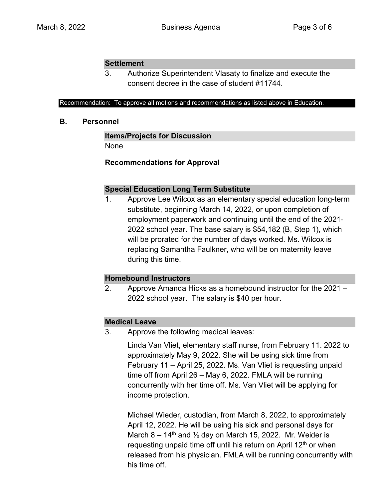#### **Settlement**

3. Authorize Superintendent Vlasaty to finalize and execute the consent decree in the case of student #11744.

#### Recommendation: To approve all motions and recommendations as listed above in Education.

#### **B. Personnel**

#### **Items/Projects for Discussion**

None

#### **Recommendations for Approval**

#### **Special Education Long Term Substitute**

1. Approve Lee Wilcox as an elementary special education long-term substitute, beginning March 14, 2022, or upon completion of employment paperwork and continuing until the end of the 2021- 2022 school year. The base salary is \$54,182 (B, Step 1), which will be prorated for the number of days worked. Ms. Wilcox is replacing Samantha Faulkner, who will be on maternity leave during this time.

#### **Homebound Instructors**

2. Approve Amanda Hicks as a homebound instructor for the 2021 – 2022 school year. The salary is \$40 per hour.

#### **Medical Leave**

3. Approve the following medical leaves:

Linda Van Vliet, elementary staff nurse, from February 11. 2022 to approximately May 9, 2022. She will be using sick time from February 11 – April 25, 2022. Ms. Van Vliet is requesting unpaid time off from April 26 – May 6, 2022. FMLA will be running concurrently with her time off. Ms. Van Vliet will be applying for income protection.

Michael Wieder, custodian, from March 8, 2022, to approximately April 12, 2022. He will be using his sick and personal days for March 8 – 14<sup>th</sup> and  $\frac{1}{2}$  day on March 15, 2022. Mr. Weider is requesting unpaid time off until his return on April 12<sup>th</sup> or when released from his physician. FMLA will be running concurrently with his time off.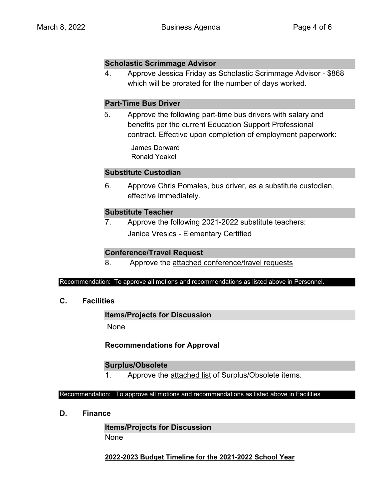#### **Scholastic Scrimmage Advisor**

4. Approve Jessica Friday as Scholastic Scrimmage Advisor - \$868 which will be prorated for the number of days worked.

#### **Part-Time Bus Driver**

 5. Approve the following part-time bus drivers with salary and benefits per the current Education Support Professional contract. Effective upon completion of employment paperwork:

> James Dorward Ronald Yeakel

#### **Substitute Custodian**

6. Approve Chris Pomales, bus driver, as a substitute custodian, effective immediately.

#### **Substitute Teacher**

7. Approve the following 2021-2022 substitute teachers: Janice Vresics - Elementary Certified

#### **Conference/Travel Request**

8. Approve the attached conference/travel requests

#### Recommendation: To approve all motions and recommendations as listed above in Personnel.

**C. Facilities**

#### **Items/Projects for Discussion**

None

#### **Recommendations for Approval**

#### **Surplus/Obsolete**

1. Approve the attached list of Surplus/Obsolete items.

#### Recommendation: To approve all motions and recommendations as listed above in Facilities

**D. Finance**

**Items/Projects for Discussion**  None

**2022-2023 Budget Timeline for the 2021-2022 School Year**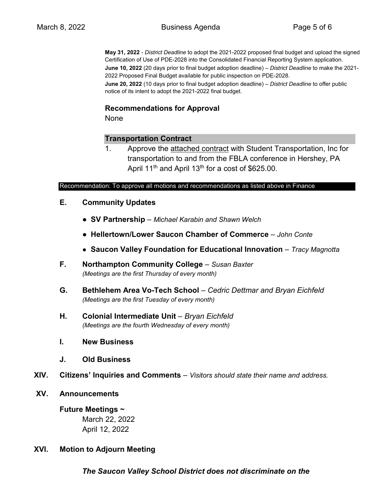**May 31, 2022** - *District Deadline* to adopt the 2021-2022 proposed final budget and upload the signed Certification of Use of PDE-2028 into the Consolidated Financial Reporting System application. **June 10, 2022** (20 days prior to final budget adoption deadline) – *District Deadline* to make the 2021- 2022 Proposed Final Budget available for public inspection on PDE-2028. **June 20, 2022** (10 days prior to final budget adoption deadline) – *District Deadline* to offer public notice of its intent to adopt the 2021-2022 final budget.

#### **Recommendations for Approval**

None

#### **Transportation Contract**

1. Approve the attached contract with Student Transportation, Inc for transportation to and from the FBLA conference in Hershey, PA April 11<sup>th</sup> and April 13<sup>th</sup> for a cost of \$625.00.

#### Recommendation: To approve all motions and recommendations as listed above in Finance

- **E. Community Updates**
	- **● SV Partnership**  *Michael Karabin and Shawn Welch*
	- **● Hellertown/Lower Saucon Chamber of Commerce** *– John Conte*
	- **● Saucon Valley Foundation for Educational Innovation**  *Tracy Magnotta*
- **F. Northampton Community College** *Susan Baxter (Meetings are the first Thursday of every month)*
- **G. Bethlehem Area Vo-Tech School** *– Cedric Dettmar and Bryan Eichfeld (Meetings are the first Tuesday of every month)*
- **H. Colonial Intermediate Unit** *– Bryan Eichfeld (Meetings are the fourth Wednesday of every month)*
- **I. New Business**
- **J. Old Business**
- **XIV. Citizens' Inquiries and Comments** *Visitors should state their name and address.*
- **XV. Announcements**

**Future Meetings ~**  March 22, 2022 April 12, 2022

**XVI. Motion to Adjourn Meeting**

*The Saucon Valley School District does not discriminate on the*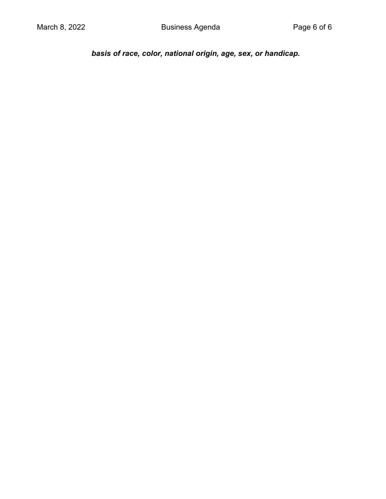*basis of race, color, national origin, age, sex, or handicap.*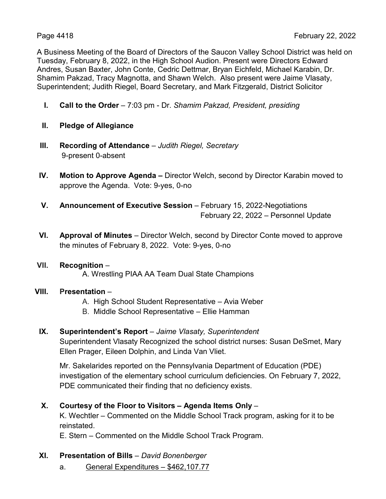A Business Meeting of the Board of Directors of the Saucon Valley School District was held on Tuesday, February 8, 2022, in the High School Audion. Present were Directors Edward Andres, Susan Baxter, John Conte, Cedric Dettmar, Bryan Eichfeld, Michael Karabin, Dr. Shamim Pakzad, Tracy Magnotta, and Shawn Welch. Also present were Jaime Vlasaty, Superintendent; Judith Riegel, Board Secretary, and Mark Fitzgerald, District Solicitor

- **I. Call to the Order** 7:03 pm Dr. *Shamim Pakzad, President, presiding*
- **II. Pledge of Allegiance**
- **III. Recording of Attendance** *Judith Riegel, Secretary* 9-present 0-absent
- **IV. Motion to Approve Agenda –** Director Welch, second by Director Karabin moved to approve the Agenda. Vote: 9-yes, 0-no
- **V. Announcement of Executive Session** February 15, 2022-Negotiations February 22, 2022 – Personnel Update
- **VI. Approval of Minutes** Director Welch, second by Director Conte moved to approve the minutes of February 8, 2022. Vote: 9-yes, 0-no
- **VII. Recognition**  A. Wrestling PIAA AA Team Dual State Champions
- **VIII. Presentation**
	- A. High School Student Representative Avia Weber
	- B. Middle School Representative Ellie Hamman
- **IX. Superintendent's Report** *Jaime Vlasaty, Superintendent*

Superintendent Vlasaty Recognized the school district nurses: Susan DeSmet, Mary Ellen Prager, Eileen Dolphin, and Linda Van Vliet.

Mr. Sakelarides reported on the Pennsylvania Department of Education (PDE) investigation of the elementary school curriculum deficiencies. On February 7, 2022, PDE communicated their finding that no deficiency exists.

**X. Courtesy of the Floor to Visitors – Agenda Items Only** –

K. Wechtler – Commented on the Middle School Track program, asking for it to be reinstated.

E. Stern – Commented on the Middle School Track Program.

- **XI. Presentation of Bills** *David Bonenberger*
	- a. General Expenditures \$462,107.77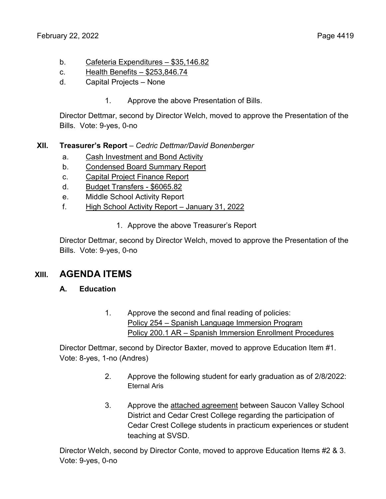- b. Cafeteria Expenditures \$35,146.82
- c. Health Benefits \$253,846.74
- d. Capital Projects None
	- 1. Approve the above Presentation of Bills.

Director Dettmar, second by Director Welch, moved to approve the Presentation of the Bills. Vote: 9-yes, 0-no

#### **XII. Treasurer's Report** – *Cedric Dettmar/David Bonenberger*

- a. Cash Investment and Bond Activity
- b. Condensed Board Summary Report
- c. Capital Project Finance Report
- d. Budget Transfers \$6065.82
- e. Middle School Activity Report
- f. High School Activity Report January 31, 2022
	- 1. Approve the above Treasurer's Report

Director Dettmar, second by Director Welch, moved to approve the Presentation of the Bills. Vote: 9-yes, 0-no

#### **XIII. AGENDA ITEMS**

#### **A. Education**

1. Approve the second and final reading of policies: Policy 254 – Spanish Language Immersion Program Policy 200.1 AR – Spanish Immersion Enrollment Procedures

Director Dettmar, second by Director Baxter, moved to approve Education Item #1. Vote: 8-yes, 1-no (Andres)

- 2. Approve the following student for early graduation as of 2/8/2022: Eternal Aris
- 3. Approve the attached agreement between Saucon Valley School District and Cedar Crest College regarding the participation of Cedar Crest College students in practicum experiences or student teaching at SVSD.

Director Welch, second by Director Conte, moved to approve Education Items #2 & 3. Vote: 9-yes, 0-no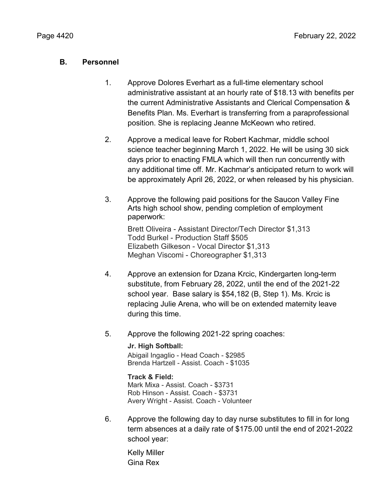#### **B. Personnel**

- 1. Approve Dolores Everhart as a full-time elementary school administrative assistant at an hourly rate of \$18.13 with benefits per the current Administrative Assistants and Clerical Compensation & Benefits Plan. Ms. Everhart is transferring from a paraprofessional position. She is replacing Jeanne McKeown who retired.
- 2. Approve a medical leave for Robert Kachmar, middle school science teacher beginning March 1, 2022. He will be using 30 sick days prior to enacting FMLA which will then run concurrently with any additional time off. Mr. Kachmar's anticipated return to work will be approximately April 26, 2022, or when released by his physician.
- 3. Approve the following paid positions for the Saucon Valley Fine Arts high school show, pending completion of employment paperwork:

Brett Oliveira - Assistant Director/Tech Director \$1,313 Todd Burkel - Production Staff \$505 Elizabeth Gilkeson - Vocal Director \$1,313 Meghan Viscomi - Choreographer \$1,313

- 4. Approve an extension for Dzana Krcic, Kindergarten long-term substitute, from February 28, 2022, until the end of the 2021-22 school year. Base salary is \$54,182 (B, Step 1). Ms. Krcic is replacing Julie Arena, who will be on extended maternity leave during this time.
- 5. Approve the following 2021-22 spring coaches:

#### **Jr. High Softball:**

Abigail Ingaglio - Head Coach - \$2985 Brenda Hartzell - Assist. Coach - \$1035

#### **Track & Field:**

Mark Mixa - Assist. Coach - \$3731 Rob Hinson - Assist. Coach - \$3731 Avery Wright - Assist. Coach - Volunteer

6. Approve the following day to day nurse substitutes to fill in for long term absences at a daily rate of \$175.00 until the end of 2021-2022 school year:

Kelly Miller Gina Rex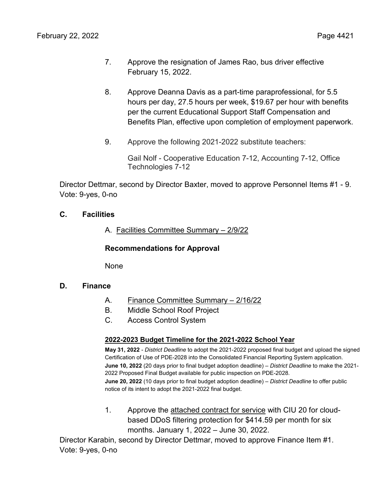- 7. Approve the resignation of James Rao, bus driver effective February 15, 2022.
- 8. Approve Deanna Davis as a part-time paraprofessional, for 5.5 hours per day, 27.5 hours per week, \$19.67 per hour with benefits per the current Educational Support Staff Compensation and Benefits Plan, effective upon completion of employment paperwork.
- 9. Approve the following 2021-2022 substitute teachers:

Gail Nolf - Cooperative Education 7-12, Accounting 7-12, Office Technologies 7-12

Director Dettmar, second by Director Baxter, moved to approve Personnel Items #1 - 9. Vote: 9-yes, 0-no

#### **C. Facilities**

A. Facilities Committee Summary – 2/9/22

**Recommendations for Approval**

None

#### **D. Finance**

- A. Finance Committee Summary 2/16/22
- B. Middle School Roof Project
- C. Access Control System

#### **2022-2023 Budget Timeline for the 2021-2022 School Year**

**May 31, 2022** - *District Deadline* to adopt the 2021-2022 proposed final budget and upload the signed Certification of Use of PDE-2028 into the Consolidated Financial Reporting System application. **June 10, 2022** (20 days prior to final budget adoption deadline) – *District Deadline* to make the 2021- 2022 Proposed Final Budget available for public inspection on PDE-2028. **June 20, 2022** (10 days prior to final budget adoption deadline) – *District Deadline* to offer public notice of its intent to adopt the 2021-2022 final budget.

1. Approve the attached contract for service with CIU 20 for cloudbased DDoS filtering protection for \$414.59 per month for six months. January 1, 2022 – June 30, 2022.

Director Karabin, second by Director Dettmar, moved to approve Finance Item #1. Vote: 9-yes, 0-no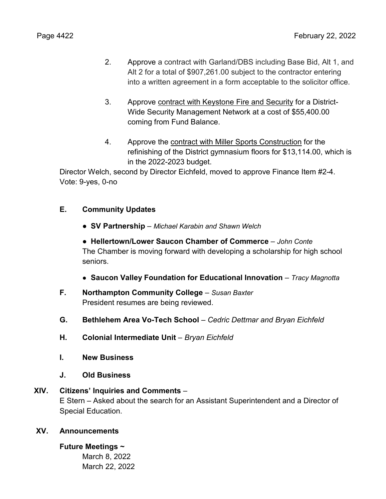- 2. Approve a contract with Garland/DBS including Base Bid, Alt 1, and Alt 2 for a total of \$907,261.00 subject to the contractor entering into a written agreement in a form acceptable to the solicitor office.
- 3. Approve contract with Keystone Fire and Security for a District-Wide Security Management Network at a cost of \$55,400.00 coming from Fund Balance.
- 4. Approve the contract with Miller Sports Construction for the refinishing of the District gymnasium floors for \$13,114.00, which is in the 2022-2023 budget.

Director Welch, second by Director Eichfeld, moved to approve Finance Item #2-4. Vote: 9-yes, 0-no

#### **E. Community Updates**

- **● SV Partnership**  *Michael Karabin and Shawn Welch*
- **● Hellertown/Lower Saucon Chamber of Commerce** *– John Conte* The Chamber is moving forward with developing a scholarship for high school seniors.
- **● Saucon Valley Foundation for Educational Innovation**  *Tracy Magnotta*
- **F. Northampton Community College** *Susan Baxter* President resumes are being reviewed.
- **G. Bethlehem Area Vo-Tech School** *– Cedric Dettmar and Bryan Eichfeld*
- **H. Colonial Intermediate Unit** *– Bryan Eichfeld*
- **I. New Business**
- **J. Old Business**

#### **XIV. Citizens' Inquiries and Comments** –

E Stern – Asked about the search for an Assistant Superintendent and a Director of Special Education.

#### **XV. Announcements**

#### **Future Meetings ~**

March 8, 2022 March 22, 2022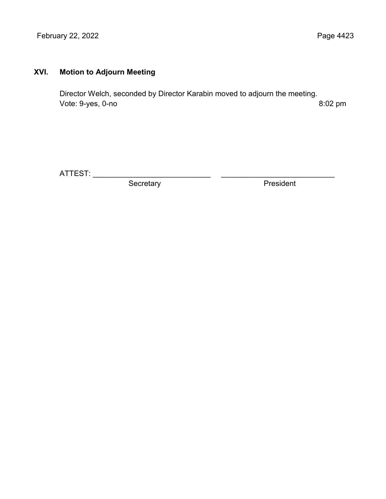February 22, 2022 **Page 4423** 

#### **XVI. Motion to Adjourn Meeting**

Director Welch, seconded by Director Karabin moved to adjourn the meeting. Vote: 9-yes, 0-no 8:02 pm

ATTEST: \_\_\_\_\_\_\_\_\_\_\_\_\_\_\_\_\_\_\_\_\_\_\_\_\_\_\_\_ \_\_\_\_\_\_\_\_\_\_\_\_\_\_\_\_\_\_\_\_\_\_\_\_\_\_\_

Secretary **President**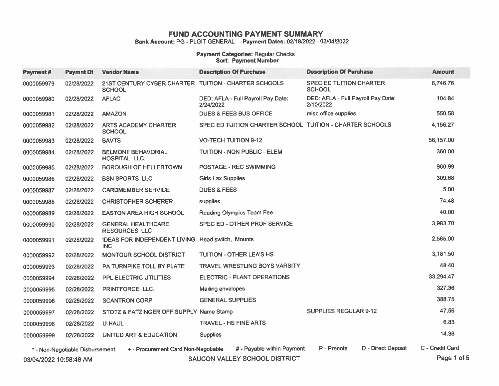Bank Account: PG - PLGIT GENERAL Payment Dates: 02/18/2022 - 03/04/2022

## **Payment Categories: Regular Checks<br>Sort: Payment Number**

| Payment#               | <b>Paymnt Dt</b>                | <b>Vendor Name</b>                                                    | <b>Description Of Purchase</b>                           | <b>Description Of Purchase</b>                  | <b>Amount</b>   |
|------------------------|---------------------------------|-----------------------------------------------------------------------|----------------------------------------------------------|-------------------------------------------------|-----------------|
| 0000059979             | 02/28/2022                      | 21ST CENTURY CYBER CHARTER TUITION - CHARTER SCHOOLS<br><b>SCHOOL</b> |                                                          | <b>SPEC ED TUITION CHARTER</b><br><b>SCHOOL</b> | 6,746.76        |
| 0000059980             | 02/28/2022                      | <b>AFLAC</b>                                                          | DED: AFLA - Full Payroll Pay Date:<br>2/24/2022          | DED: AFLA - Full Payroll Pay Date:<br>2/10/2022 | 104.84          |
| 0000059981             | 02/28/2022                      | <b>AMAZON</b>                                                         | <b>DUES &amp; FEES BUS OFFICE</b>                        | misc office supplies                            | 550.58          |
| 0000059982             | 02/28/2022                      | <b>ARTS ACADEMY CHARTER</b><br><b>SCHOOL</b>                          | SPEC ED TUITION CHARTER SCHOOL TUITION - CHARTER SCHOOLS |                                                 | 4,156.27        |
| 0000059983             | 02/28/2022                      | <b>BAVTS</b>                                                          | <b>VO-TECH TUITION 9-12</b>                              |                                                 | 56,157.00       |
| 0000059984             | 02/28/2022                      | <b>BELMONT BEHAVORIAL</b><br><b>HOSPITAL LLC.</b>                     | <b>TUITION - NON PUBLIC - ELEM</b>                       |                                                 | 360.00          |
| 0000059985             | 02/28/2022                      | <b>BOROUGH OF HELLERTOWN</b>                                          | <b>POSTAGE - REC SWIMMING</b>                            |                                                 | 960.99          |
| 0000059986             | 02/28/2022                      | <b>BSN SPORTS LLC</b>                                                 | <b>Girls Lax Supplies</b>                                |                                                 | 309.68          |
| 0000059987             | 02/28/2022                      | <b>CARDMEMBER SERVICE</b>                                             | <b>DUES &amp; FEES</b>                                   |                                                 | 5.00            |
| 0000059988             | 02/28/2022                      | <b>CHRISTOPHER SCHERER</b>                                            | supplies                                                 |                                                 | 74.48           |
| 0000059989             | 02/28/2022                      | <b>EASTON AREA HIGH SCHOOL</b>                                        | <b>Reading Olympics Team Fee</b>                         |                                                 | 40.00           |
| 0000059990             | 02/28/2022                      | <b>GENERAL HEALTHCARE</b><br><b>RESOURCES LLC</b>                     | SPEC ED - OTHER PROF SERVICE                             |                                                 | 3,983.70        |
| 0000059991             | 02/28/2022                      | IDEAS FOR INDEPENDENT LIVING Head switch, Mounts<br><b>INC</b>        |                                                          |                                                 | 2,565.00        |
| 0000059992             | 02/28/2022                      | MONTOUR SCHOOL DISTRICT                                               | <b>TUITION - OTHER LEA'S HS</b>                          |                                                 | 3,181.50        |
| 0000059993             | 02/28/2022                      | PA TURNPIKE TOLL BY PLATE                                             | <b>TRAVEL WRESTLING BOYS VARSITY</b>                     |                                                 | 48.40           |
| 0000059994             | 02/28/2022                      | PPL ELECTRIC UTILITIES                                                | <b>ELECTRIC - PLANT OPERATIONS</b>                       |                                                 | 33,294.47       |
| 0000059995             | 02/28/2022                      | PRINTFORCE LLC.                                                       | Mailing envelopes                                        |                                                 | 327.36          |
| 0000059996             | 02/28/2022                      | <b>SCANTRON CORP.</b>                                                 | <b>GENERAL SUPPLIES</b>                                  |                                                 | 388.75          |
| 0000059997             | 02/28/2022                      | STOTZ & FATZINGER OFF.SUPPLY Name Stamp                               |                                                          | <b>SUPPLIES REGULAR 9-12</b>                    | 47.56           |
| 0000059998             | 02/28/2022                      | U-HAUL                                                                | <b>TRAVEL - HS FINE ARTS</b>                             |                                                 | 6.83            |
| 0000059999             | 02/28/2022                      | UNITED ART & EDUCATION                                                | <b>Supplies</b>                                          |                                                 | 14.38           |
|                        | * - Non-Negotiable Disbursement | + - Procurement Card Non-Negotiable                                   | # - Payable within Payment                               | D - Direct Deposit<br>P - Prenote               | C - Credit Card |
| 03/04/2022 10:58:48 AM |                                 |                                                                       | SAUCON VALLEY SCHOOL DISTRICT                            |                                                 | Page 1 of 5     |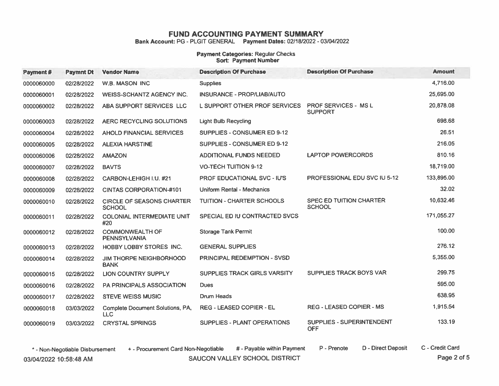Bank Account: PG - PLGIT GENERAL Payment Dates: 02/18/2022 - 03/04/2022

## Payment Categories: Regular Checks<br>Sort: Payment Number

| Payment#   | <b>Paymnt Dt</b> | <b>Vendor Name</b>                                | <b>Description Of Purchase</b>      | <b>Description Of Purchase</b>                  | <b>Amount</b> |
|------------|------------------|---------------------------------------------------|-------------------------------------|-------------------------------------------------|---------------|
| 0000060000 | 02/28/2022       | <b>W.B. MASON INC</b>                             | <b>Supplies</b>                     |                                                 | 4,716.00      |
| 0000060001 | 02/28/2022       | <b>WEISS-SCHANTZ AGENCY INC.</b>                  | <b>INSURANCE - PROP/LIAB/AUTO</b>   |                                                 | 25.695.00     |
| 0000060002 | 02/28/2022       | ABA SUPPORT SERVICES LLC                          | L SUPPORT OTHER PROF SERVICES       | <b>PROF SERVICES - MSL</b><br><b>SUPPORT</b>    | 20,878.08     |
| 0000060003 | 02/28/2022       | AERC RECYCLING SOLUTIONS                          | <b>Light Bulb Recycling</b>         |                                                 | 698.68        |
| 0000060004 | 02/28/2022       | AHOLD FINANCIAL SERVICES                          | SUPPLIES - CONSUMER ED 9-12         |                                                 | 26.51         |
| 0000060005 | 02/28/2022       | <b>ALEXIA HARSTINE</b>                            | <b>SUPPLIES - CONSUMER ED 9-12</b>  |                                                 | 216.05        |
| 0000060006 | 02/28/2022       | <b>AMAZON</b>                                     | <b>ADDITIONAL FUNDS NEEDED</b>      | <b>LAPTOP POWERCORDS</b>                        | 810.16        |
| 0000060007 | 02/28/2022       | <b>BAVTS</b>                                      | <b>VO-TECH TUITION 9-12</b>         |                                                 | 18,719.00     |
| 0000060008 | 02/28/2022       | CARBON-LEHIGH I.U. #21                            | <b>PROF EDUCATIONAL SVC - IU'S</b>  | PROFESSIONAL EDU SVC IU 5-12                    | 133.895.00    |
| 0000060009 | 02/28/2022       | <b>CINTAS CORPORATION-#101</b>                    | Uniform Rental - Mechanics          |                                                 | 32.02         |
| 0000060010 | 02/28/2022       | <b>CIRCLE OF SEASONS CHARTER</b><br><b>SCHOOL</b> | <b>TUITION - CHARTER SCHOOLS</b>    | <b>SPEC ED TUITION CHARTER</b><br><b>SCHOOL</b> | 10,632.46     |
| 0000060011 | 02/28/2022       | <b>COLONIAL INTERMEDIATE UNIT</b><br>#20          | SPECIAL ED IU CONTRACTED SVCS       |                                                 | 171,055.27    |
| 0000060012 | 02/28/2022       | <b>COMMONWEALTH OF</b><br><b>PENNSYLVANIA</b>     | <b>Storage Tank Permit</b>          |                                                 | 100.00        |
| 0000060013 | 02/28/2022       | <b>HOBBY LOBBY STORES INC.</b>                    | <b>GENERAL SUPPLIES</b>             |                                                 | 276.12        |
| 0000060014 | 02/28/2022       | <b>JIM THORPE NEIGHBORHOOD</b><br><b>BANK</b>     | <b>PRINCIPAL REDEMPTION - SVSD</b>  |                                                 | 5.355.00      |
| 0000060015 | 02/28/2022       | <b>LION COUNTRY SUPPLY</b>                        | <b>SUPPLIES TRACK GIRLS VARSITY</b> | <b>SUPPLIES TRACK BOYS VAR</b>                  | 299.75        |
| 0000060016 | 02/28/2022       | <b>PA PRINCIPALS ASSOCIATION</b>                  | <b>Dues</b>                         |                                                 | 595.00        |
| 0000060017 | 02/28/2022       | <b>STEVE WEISS MUSIC</b>                          | <b>Drum Heads</b>                   |                                                 | 638.95        |
| 0000060018 | 03/03/2022       | Complete Document Solutions, PA,<br><b>LLC</b>    | REG - LEASED COPIER - EL            | <b>REG - LEASED COPIER - MS</b>                 | 1,915.54      |
| 0000060019 | 03/03/2022       | <b>CRYSTAL SPRINGS</b>                            | SUPPLIES - PLANT OPERATIONS         | SUPPLIES - SUPERINTENDENT<br><b>OFF</b>         | 133.19        |

SAUCON VALLEY SCHOOL DISTRICT

\* - Non-Negotiable Disbursement

+ - Procurement Card Non-Negotiable

# - Payable within Payment P - Prenote C - Credit Card

D - Direct Deposit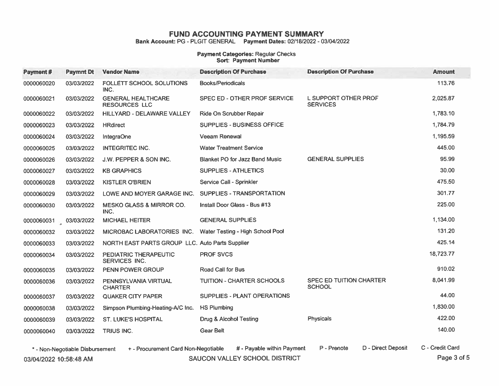Bank Account: PG - PLGIT GENERAL Payment Dates: 02/18/2022 - 03/04/2022

## Payment Categories: Regular Checks<br>Sort: Payment Number

| Payment#              | <b>Paymnt Dt</b> | <b>Vendor Name</b>                                                                                     | <b>Description Of Purchase</b>        | <b>Description Of Purchase</b>           | <b>Amount</b>   |
|-----------------------|------------------|--------------------------------------------------------------------------------------------------------|---------------------------------------|------------------------------------------|-----------------|
| 0000060020            | 03/03/2022       | FOLLETT SCHOOL SOLUTIONS<br>INC.                                                                       | <b>Books/Periodicals</b>              |                                          | 113.76          |
| 0000060021            | 03/03/2022       | <b>GENERAL HEALTHCARE</b><br><b>RESOURCES LLC</b>                                                      | SPEC ED - OTHER PROF SERVICE          | L SUPPORT OTHER PROF<br><b>SERVICES</b>  | 2,025.87        |
| 0000060022            | 03/03/2022       | HILLYARD - DELAWARE VALLEY                                                                             | Ride On Scrubber Repair               |                                          | 1,783.10        |
| 0000060023            | 03/03/2022       | <b>HRdirect</b>                                                                                        | <b>SUPPLIES - BUSINESS OFFICE</b>     |                                          | 1,784.79        |
| 0000060024            | 03/03/2022       | <b>IntegraOne</b>                                                                                      | <b>Veeam Renewal</b>                  |                                          | 1,195.59        |
| 0000060025            | 03/03/2022       | <b>INTEGRITEC INC.</b>                                                                                 | <b>Water Treatment Service</b>        |                                          | 445.00          |
| 0000060026            | 03/03/2022       | J.W. PEPPER & SON INC.                                                                                 | <b>Blanket PO for Jazz Band Music</b> | <b>GENERAL SUPPLIES</b>                  | 95.99           |
| 0000060027            | 03/03/2022       | <b>KB GRAPHICS</b>                                                                                     | <b>SUPPLIES - ATHLETICS</b>           |                                          | 30.00           |
| 0000060028            | 03/03/2022       | <b>KISTLER O'BRIEN</b>                                                                                 | Service Call - Sprinkler              |                                          | 475.50          |
| 0000060029            | 03/03/2022       | LOWE AND MOYER GARAGE INC.                                                                             | SUPPLIES - TRANSPORTATION             |                                          | 301.77          |
| 0000060030            | 03/03/2022       | <b>MESKO GLASS &amp; MIRROR CO.</b><br>INC.                                                            | Install Door Glass - Bus #13          |                                          | 225.00          |
| 0000060031 03/03/2022 |                  | <b>MICHAEL HEITER</b>                                                                                  | <b>GENERAL SUPPLIES</b>               |                                          | 1,134.00        |
| 0000060032            | 03/03/2022       | MICROBAC LABORATORIES INC.                                                                             | Water Testing - High School Pool      |                                          | 131.20          |
| 0000060033            | 03/03/2022       | NORTH EAST PARTS GROUP LLC. Auto Parts Supplier                                                        |                                       |                                          | 425.14          |
| 0000060034            | 03/03/2022       | PEDIATRIC THERAPEUTIC<br><b>SERVICES INC.</b>                                                          | <b>PROF SVCS</b>                      |                                          | 18,723.77       |
| 0000060035            | 03/03/2022       | <b>PENN POWER GROUP</b>                                                                                | <b>Road Call for Bus</b>              |                                          | 910.02          |
| 0000060036            | 03/03/2022       | PENNSYLVANIA VIRTUAL<br><b>CHARTER</b>                                                                 | <b>TUITION - CHARTER SCHOOLS</b>      | SPEC ED TUITION CHARTER<br><b>SCHOOL</b> | 8,041.99        |
| 0000060037            | 03/03/2022       | <b>QUAKER CITY PAPER</b>                                                                               | SUPPLIES - PLANT OPERATIONS           |                                          | 44.00           |
| 0000060038            | 03/03/2022       | Simpson Plumbing-Heating-A/C Inc.                                                                      | <b>HS Plumbing</b>                    |                                          | 1,830.00        |
| 0000060039            | 03/03/2022       | <b>ST. LUKE'S HOSPITAL</b>                                                                             | Drug & Alcohol Testing                | Physicals                                | 422.00          |
| 0000060040            | 03/03/2022       | <b>TRIUS INC.</b>                                                                                      | <b>Gear Belt</b>                      |                                          | 140.00          |
|                       |                  | $^{\star}$ . Non-Negotiable Disbursement $\rightarrow$ - Procurement Card Non-Negotiable $\rightarrow$ | # - Pavable within Payment            | D - Direct Deposit<br>P - Prenote        | C - Credit Card |

SAUCON VALLEY SCHOOL DISTRICT

\* - Non-Negotiable Disbursement

+ - Procurement Card Non-Negotiable

# - Payable within Payment

D - Direct Deposit

C - Credit Card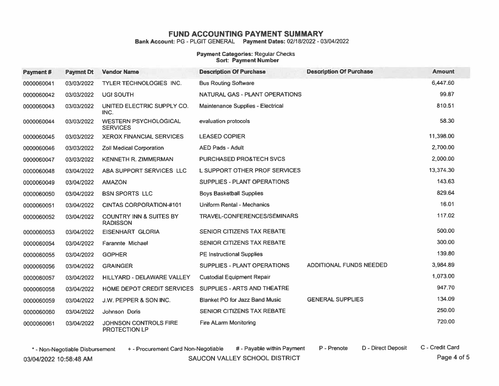Bank Account: PG - PLGIT GENERAL Payment Dates: 02/18/2022 - 03/04/2022

#### Payment Categories: Regular Checks **Sort: Payment Number**

| Payment #  | <b>Paymnt Dt</b> | <b>Vendor Name</b>                                    | <b>Description Of Purchase</b>        | <b>Description Of Purchase</b> | <b>Amount</b> |
|------------|------------------|-------------------------------------------------------|---------------------------------------|--------------------------------|---------------|
| 0000060041 | 03/03/2022       | TYLER TECHNOLOGIES INC.                               | <b>Bus Routing Software</b>           |                                | 6,447.60      |
| 0000060042 | 03/03/2022       | <b>UGI SOUTH</b>                                      | NATURAL GAS - PLANT OPERATIONS        |                                | 99.87         |
| 0000060043 | 03/03/2022       | UNITED ELECTRIC SUPPLY CO.<br>INC.                    | Maintenance Supplies - Electrical     |                                | 810.51        |
| 0000060044 | 03/03/2022       | <b>WESTERN PSYCHOLOGICAL</b><br><b>SERVICES</b>       | evaluation protocols                  |                                | 58.30         |
| 0000060045 | 03/03/2022       | <b>XEROX FINANCIAL SERVICES</b>                       | <b>LEASED COPIER</b>                  |                                | 11,398.00     |
| 0000060046 | 03/03/2022       | <b>Zoll Medical Corporation</b>                       | <b>AED Pads - Adult</b>               |                                | 2,700.00      |
| 0000060047 | 03/03/2022       | <b>KENNETH R. ZIMMERMAN</b>                           | <b>PURCHASED PRO&amp;TECH SVCS</b>    |                                | 2,000.00      |
| 0000060048 | 03/04/2022       | ABA SUPPORT SERVICES LLC                              | L SUPPORT OTHER PROF SERVICES         |                                | 13,374.30     |
| 0000060049 | 03/04/2022       | <b>AMAZON</b>                                         | SUPPLIES - PLANT OPERATIONS           |                                | 143.63        |
| 0000060050 | 03/04/2022       | <b>BSN SPORTS LLC</b>                                 | <b>Boys Basketball Supplies</b>       |                                | 829.64        |
| 0000060051 | 03/04/2022       | <b>CINTAS CORPORATION#101</b>                         | <b>Uniform Rental - Mechanics</b>     |                                | 16.01         |
| 0000060052 | 03/04/2022       | <b>COUNTRY INN &amp; SUITES BY</b><br><b>RADISSON</b> | TRAVEL-CONFERENCES/SEMINARS           |                                | 117.02        |
| 0000060053 | 03/04/2022       | <b>EISENHART GLORIA</b>                               | <b>SENIOR CITIZENS TAX REBATE</b>     |                                | 500.00        |
| 0000060054 | 03/04/2022       | Farannte Michael                                      | <b>SENIOR CITIZENS TAX REBATE</b>     |                                | 300.00        |
| 0000060055 | 03/04/2022       | <b>GOPHER</b>                                         | <b>PE Instructional Supplies</b>      |                                | 139.80        |
| 0000060056 | 03/04/2022       | <b>GRAINGER</b>                                       | SUPPLIES - PLANT OPERATIONS           | ADDITIONAL FUNDS NEEDED        | 3,984.89      |
| 0000060057 | 03/04/2022       | HILLYARD - DELAWARE VALLEY                            | <b>Custodial Equipment Repair</b>     |                                | 1,073.00      |
| 0000060058 | 03/04/2022       | HOME DEPOT CREDIT SERVICES                            | <b>SUPPLIES - ARTS AND THEATRE</b>    |                                | 947.70        |
| 0000060059 | 03/04/2022       | J.W. PEPPER & SON INC.                                | <b>Blanket PO for Jazz Band Music</b> | <b>GENERAL SUPPLIES</b>        | 134.09        |
| 0000060060 | 03/04/2022       | Johnson Doris                                         | SENIOR CITIZENS TAX REBATE            |                                | 250.00        |
| 0000060061 | 03/04/2022       | JOHNSON CONTROLS FIRE<br><b>PROTECTION LP</b>         | <b>Fire ALarm Monitoring</b>          |                                | 720.00        |

SAUCON VALLEY SCHOOL DISTRICT

\* - Non-Negotiable Disbursement

+ - Procurement Card Non-Negotiable

# - Payable within Payment

D - Direct Deposit P - Prenote

C - Credit Card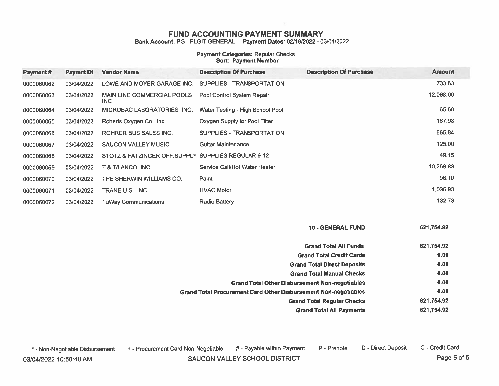Bank Account: PG - PLGIT GENERAL Payment Dates: 02/18/2022 - 03/04/2022

#### Payment Categories: Regular Checks Sort: Payment Number

| Payment #  | <b>Paymnt Dt</b> | <b>Vendor Name</b>                                 | <b>Description Of Purchase</b>   | <b>Description Of Purchase</b> | <b>Amount</b> |
|------------|------------------|----------------------------------------------------|----------------------------------|--------------------------------|---------------|
| 0000060062 | 03/04/2022       | LOWE AND MOYER GARAGE INC.                         | SUPPLIES - TRANSPORTATION        |                                | 733.63        |
| 0000060063 | 03/04/2022       | <b>MAIN LINE COMMERCIAL POOLS</b><br>INC.          | Pool Control System Repair       |                                | 12,068.00     |
| 0000060064 | 03/04/2022       | MICROBAC LABORATORIES INC.                         | Water Testing - High School Pool |                                | 65.60         |
| 0000060065 | 03/04/2022       | Roberts Oxygen Co. Inc.                            | Oxygen Supply for Pool Filter    |                                | 187.93        |
| 0000060066 | 03/04/2022       | <b>ROHRER BUS SALES INC.</b>                       | SUPPLIES - TRANSPORTATION        |                                | 665.84        |
| 0000060067 | 03/04/2022       | <b>SAUCON VALLEY MUSIC</b>                         | Guitar Maintenance               |                                | 125.00        |
| 0000060068 | 03/04/2022       | STOTZ & FATZINGER OFF.SUPPLY SUPPLIES REGULAR 9-12 |                                  |                                | 49.15         |
| 0000060069 | 03/04/2022       | T & T/LANCO INC.                                   | Service Call/Hot Water Heater    |                                | 10,259.83     |
| 0000060070 | 03/04/2022       | THE SHERWIN WILLIAMS CO.                           | Paint                            |                                | 96.10         |
| 0000060071 | 03/04/2022       | TRANE U.S. INC.                                    | <b>HVAC Motor</b>                |                                | 1,036.93      |
| 0000060072 | 03/04/2022       | <b>TuWay Communications</b>                        | <b>Radio Battery</b>             |                                | 132.73        |

**10 - GENERAL FUND** 621,754.92

| <b>Grand Total All Funds</b>                                           | 621.754.92 |
|------------------------------------------------------------------------|------------|
| <b>Grand Total Credit Cards</b>                                        | 0.00       |
| <b>Grand Total Direct Deposits</b>                                     | 0.00       |
| <b>Grand Total Manual Checks</b>                                       | 0.00       |
| <b>Grand Total Other Disbursement Non-negotiables</b>                  | 0.00       |
| <b>Grand Total Procurement Card Other Disbursement Non-negotiables</b> | 0.00       |
| <b>Grand Total Requiar Checks</b>                                      | 621,754.92 |
| <b>Grand Total All Payments</b>                                        | 621,754.92 |

C - Credit Card # - Payable within Payment D - Direct Deposit + - Procurement Card Non-Negotiable P - Prenote \* - Non-Negotiable Disbursement

SAUCON VALLEY SCHOOL DISTRICT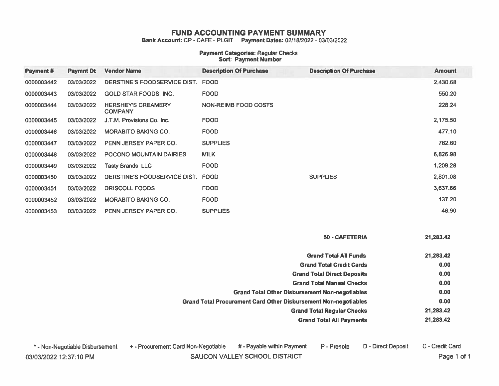Bank Account: CP - CAFE - PLGIT Payment Dates: 02/18/2022 - 03/03/2022

### **Payment Categories: Regular Checks**<br>Sort: Payment Number

| Payment #  | <b>Paymnt Dt</b> | <b>Vendor Name</b>                          | <b>Description Of Purchase</b> | <b>Description Of Purchase</b> | <b>Amount</b> |
|------------|------------------|---------------------------------------------|--------------------------------|--------------------------------|---------------|
| 0000003442 | 03/03/2022       | DERSTINE'S FOODSERVICE DIST.                | <b>FOOD</b>                    |                                | 2.430.68      |
| 0000003443 | 03/03/2022       | GOLD STAR FOODS, INC.                       | <b>FOOD</b>                    |                                | 550.20        |
| 0000003444 | 03/03/2022       | <b>HERSHEY'S CREAMERY</b><br><b>COMPANY</b> | <b>NON-REIMB FOOD COSTS</b>    |                                | 228.24        |
| 0000003445 | 03/03/2022       | J.T.M. Provisions Co. Inc.                  | <b>FOOD</b>                    |                                | 2,175.50      |
| 0000003446 | 03/03/2022       | <b>MORABITO BAKING CO.</b>                  | <b>FOOD</b>                    |                                | 477.10        |
| 0000003447 | 03/03/2022       | PENN JERSEY PAPER CO.                       | <b>SUPPLIES</b>                |                                | 762.60        |
| 0000003448 | 03/03/2022       | POCONO MOUNTAIN DAIRIES                     | <b>MILK</b>                    |                                | 6,826.98      |
| 0000003449 | 03/03/2022       | <b>Tasty Brands LLC</b>                     | <b>FOOD</b>                    |                                | 1,209.28      |
| 0000003450 | 03/03/2022       | DERSTINE'S FOODSERVICE DIST. FOOD           |                                | <b>SUPPLIES</b>                | 2,801.08      |
| 0000003451 | 03/03/2022       | <b>DRISCOLL FOODS</b>                       | <b>FOOD</b>                    |                                | 3,637.66      |
| 0000003452 | 03/03/2022       | <b>MORABITO BAKING CO.</b>                  | <b>FOOD</b>                    |                                | 137.20        |
| 0000003453 | 03/03/2022       | PENN JERSEY PAPER CO.                       | <b>SUPPLIES</b>                |                                | 46.90         |

50 - CAFETERIA 21,283.42

D - Direct Deposit

| <b>Grand Total All Funds</b>                                           | 21,283.42 |
|------------------------------------------------------------------------|-----------|
| <b>Grand Total Credit Cards</b>                                        | 0.00      |
| <b>Grand Total Direct Deposits</b>                                     | 0.00      |
| <b>Grand Total Manual Checks</b>                                       | 0.00      |
| <b>Grand Total Other Disbursement Non-negotiables</b>                  | 0.00      |
| <b>Grand Total Procurement Card Other Disbursement Non-negotiables</b> | 0.00      |
| <b>Grand Total Regular Checks</b>                                      | 21,283.42 |
| <b>Grand Total All Payments</b>                                        | 21,283.42 |

P - Prenote

\* - Non-Negotiable Disbursement 03/03/2022 12:37:10 PM

+ - Procurement Card Non-Negotiable

# - Payable within Payment

SAUCON VALLEY SCHOOL DISTRICT

C - Credit Card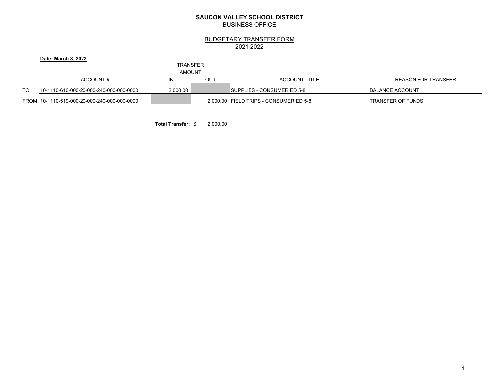#### **SAUCON VALLEY SCHOOL DISTRICT**BUSINESS OFFICE

#### BUDGETARY TRANSFER FORM 2021-2022

#### **Date: March 8, 2022**

#### TRANSFER

AMOUNT

|      | ACCOUNT#                                     |          | OUT | <b>ACCOUNT TITLE</b>                   | REASON FOR TRANSFER       |
|------|----------------------------------------------|----------|-----|----------------------------------------|---------------------------|
| - TO | 10-1110-610-000-20-000-240-000-000-0000      | 2.000.00 |     | <b>ISUPPLIES - CONSUMER ED 5-8</b>     | <b>IBALANCE ACCOUNT</b>   |
|      | FROM 10-1110-519-000-20-000-240-000-000-0000 |          |     | 2,000.00 FIELD TRIPS - CONSUMER ED 5-8 | <b>ITRANSFER OF FUNDS</b> |

**Total Transfer:** \$ 2,000.00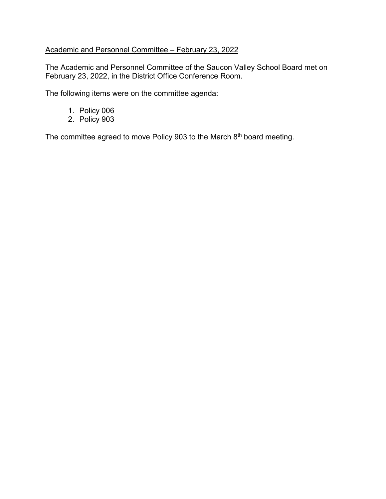#### Academic and Personnel Committee – February 23, 2022

The Academic and Personnel Committee of the Saucon Valley School Board met on February 23, 2022, in the District Office Conference Room.

The following items were on the committee agenda:

- 1. Policy 006
- 2. Policy 903

The committee agreed to move Policy 903 to the March 8<sup>th</sup> board meeting.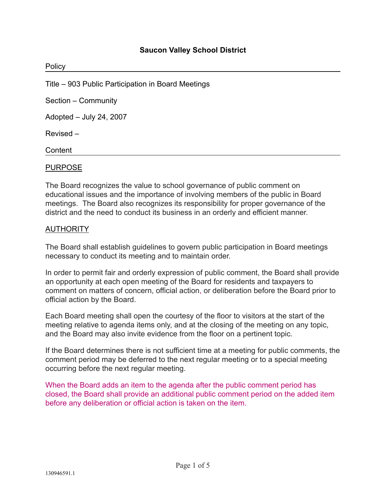#### **Saucon Valley School District**

| Policy                                             |  |
|----------------------------------------------------|--|
| Title – 903 Public Participation in Board Meetings |  |
| Section - Community                                |  |
| Adopted - July 24, 2007                            |  |
| Revised-                                           |  |
| Content                                            |  |

#### PURPOSE

The Board recognizes the value to school governance of public comment on educational issues and the importance of involving members of the public in Board meetings. The Board also recognizes its responsibility for proper governance of the district and the need to conduct its business in an orderly and efficient manner.

#### AUTHORITY

The Board shall establish guidelines to govern public participation in Board meetings necessary to conduct its meeting and to maintain order.

In order to permit fair and orderly expression of public comment, the Board shall provide an opportunity at each open meeting of the Board for residents and taxpayers to comment on matters of concern, official action, or deliberation before the Board prior to official action by the Board.

Each Board meeting shall open the courtesy of the floor to visitors at the start of the meeting relative to agenda items only, and at the closing of the meeting on any topic, and the Board may also invite evidence from the floor on a pertinent topic.

If the Board determines there is not sufficient time at a meeting for public comments, the comment period may be deferred to the next regular meeting or to a special meeting occurring before the next regular meeting.

When the Board adds an item to the agenda after the public comment period has closed, the Board shall provide an additional public comment period on the added item before any deliberation or official action is taken on the item.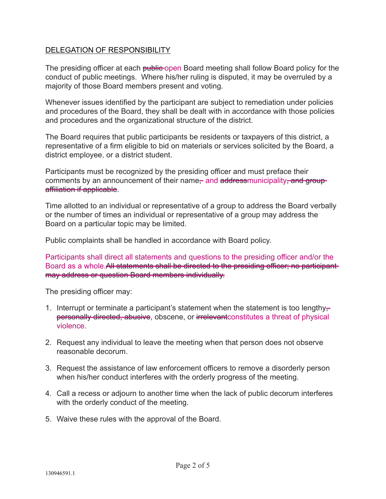#### DELEGATION OF RESPONSIBILITY

The presiding officer at each public open Board meeting shall follow Board policy for the conduct of public meetings. Where his/her ruling is disputed, it may be overruled by a majority of those Board members present and voting.

Whenever issues identified by the participant are subject to remediation under policies and procedures of the Board, they shall be dealt with in accordance with those policies and procedures and the organizational structure of the district.

The Board requires that public participants be residents or taxpayers of this district, a representative of a firm eligible to bid on materials or services solicited by the Board, a district employee, or a district student.

Participants must be recognized by the presiding officer and must preface their comments by an announcement of their name- and addressmunicipality-and groupaffiliation if applicable.

Time allotted to an individual or representative of a group to address the Board verbally or the number of times an individual or representative of a group may address the Board on a particular topic may be limited.

Public complaints shall be handled in accordance with Board policy.

Participants shall direct all statements and questions to the presiding officer and/or the Board as a whole. All statements shall be directed to the presiding officer; no participant may address or question Board members individually.

The presiding officer may:

- 1. Interrupt or terminate a participant's statement when the statement is too lengthypersonally directed, abusive, obscene, or irrelevant constitutes a threat of physical violence.
- 2. Request any individual to leave the meeting when that person does not observe reasonable decorum.
- 3. Request the assistance of law enforcement officers to remove a disorderly person when his/her conduct interferes with the orderly progress of the meeting.
- 4. Call a recess or adjourn to another time when the lack of public decorum interferes with the orderly conduct of the meeting.
- 5. Waive these rules with the approval of the Board.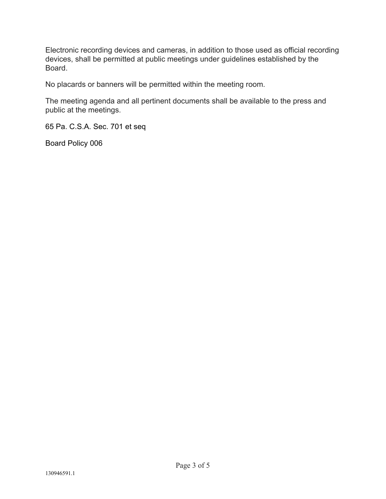Electronic recording devices and cameras, in addition to those used as official recording devices, shall be permitted at public meetings under guidelines established by the Board.

No placards or banners will be permitted within the meeting room.

The meeting agenda and all pertinent documents shall be available to the press and public at the meetings.

65 Pa. C.S.A. Sec. 701 et seq

Board Policy 006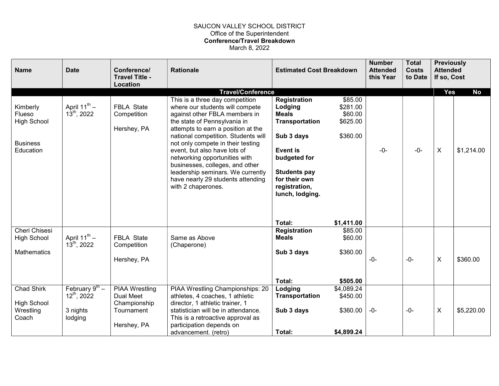#### SAUCON VALLEY SCHOOL DISTRICT Office of the Superintendent Conference/Travel Breakdown March 8, 2022

|                                                                       |                                                                                                                                                                                                                                                                                                                                                                                                                                                           | <b>Estimated Cost Breakdown</b>                                                                                                                                                        |                                                        |                                      |       | this Year | to Date    | If so, Cost | <b>Attended</b> |
|-----------------------------------------------------------------------|-----------------------------------------------------------------------------------------------------------------------------------------------------------------------------------------------------------------------------------------------------------------------------------------------------------------------------------------------------------------------------------------------------------------------------------------------------------|----------------------------------------------------------------------------------------------------------------------------------------------------------------------------------------|--------------------------------------------------------|--------------------------------------|-------|-----------|------------|-------------|-----------------|
|                                                                       | <b>Travel/Conference</b>                                                                                                                                                                                                                                                                                                                                                                                                                                  |                                                                                                                                                                                        |                                                        |                                      |       | Yes       | <b>No</b>  |             |                 |
| April $11^{th}$ –<br>$13^{th}$ , 2022                                 | This is a three day competition<br>where our students will compete<br>against other FBLA members in<br>the state of Pennsylvania in<br>attempts to earn a position at the<br>national competition. Students will<br>not only compete in their testing<br>event, but also have lots of<br>networking opportunities with<br>businesses, colleges, and other<br>leadership seminars. We currently<br>have nearly 29 students attending<br>with 2 chaperones. | <b>Registration</b><br>Lodging<br><b>Meals</b><br>Transportation<br>Sub 3 days<br>Event is<br>budgeted for<br><b>Students pay</b><br>for their own<br>registration,<br>lunch, lodging. | \$85.00<br>\$281.00<br>\$60.00<br>\$625.00<br>\$360.00 | $-0-$                                | $-0-$ | X         | \$1,214.00 |             |                 |
|                                                                       |                                                                                                                                                                                                                                                                                                                                                                                                                                                           |                                                                                                                                                                                        |                                                        |                                      |       |           |            |             |                 |
| April $11^{th}$ –<br>$13^{th}$ , 2022                                 | Same as Above<br>(Chaperone)                                                                                                                                                                                                                                                                                                                                                                                                                              | <b>Registration</b><br><b>Meals</b><br>Sub 3 days                                                                                                                                      | \$85.00<br>\$60.00<br>\$360.00                         | -0-                                  | $-0-$ | X         | \$360.00   |             |                 |
|                                                                       |                                                                                                                                                                                                                                                                                                                                                                                                                                                           |                                                                                                                                                                                        |                                                        |                                      |       |           |            |             |                 |
| February $9^{\text{th}}$ –<br>$12^{th}$ , 2022<br>3 nights<br>lodging | PIAA Wrestling Championships: 20<br>athletes, 4 coaches, 1 athletic<br>director, 1 athletic trainer, 1<br>statistician will be in attendance.<br>This is a retroactive approval as<br>participation depends on                                                                                                                                                                                                                                            | Lodging<br>Transportation<br>Sub 3 days                                                                                                                                                | \$4,089.24<br>\$450.00<br>\$360.00                     | $-0-$                                | $-0-$ | X         | \$5,220.00 |             |                 |
|                                                                       | <b>FBLA State</b><br>Competition<br>Hershey, PA<br><b>FBLA State</b><br>Competition<br>Hershey, PA<br><b>PIAA Wrestling</b><br>Dual Meet<br>Championship<br>Tournament<br>Hershey, PA                                                                                                                                                                                                                                                                     |                                                                                                                                                                                        | Total:<br>Total:<br>advancement. (retro)<br>Total:     | \$1,411.00<br>\$505.00<br>\$4,899.24 |       |           |            |             |                 |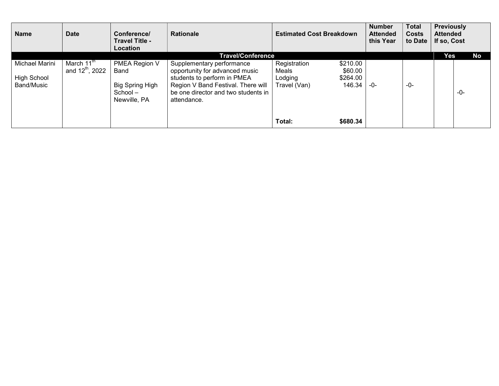| <b>Name</b>                                 | <b>Date</b>                                           | Conference/<br>Travel Title -<br><b>Location</b>                              | <b>Rationale</b>                                                                                                                                                                       | <b>Estimated Cost Breakdown</b>                  |                                           | <b>Number</b><br><b>Attended</b><br>this Year | <b>Total</b><br><b>Costs</b><br>to Date | <b>Previously</b><br><b>Attended</b><br>If so, Cost |     |    |
|---------------------------------------------|-------------------------------------------------------|-------------------------------------------------------------------------------|----------------------------------------------------------------------------------------------------------------------------------------------------------------------------------------|--------------------------------------------------|-------------------------------------------|-----------------------------------------------|-----------------------------------------|-----------------------------------------------------|-----|----|
|                                             |                                                       |                                                                               | <b>Travel/Conference</b>                                                                                                                                                               |                                                  |                                           |                                               |                                         | Yes                                                 |     | No |
| Michael Marini<br>High School<br>Band/Music | March 11 <sup>th</sup><br>and $12^{\text{th}}$ , 2022 | PMEA Region V<br>Band<br><b>Big Spring High</b><br>$School -$<br>Newville, PA | Supplementary performance<br>opportunity for advanced music<br>students to perform in PMEA<br>Region V Band Festival. There will<br>be one director and two students in<br>attendance. | Registration<br>Meals<br>Lodging<br>Travel (Van) | \$210.00<br>\$60.00<br>\$264.00<br>146.34 | -0-                                           | -0-                                     |                                                     | -0- |    |
|                                             |                                                       |                                                                               |                                                                                                                                                                                        | Total:                                           | \$680.34                                  |                                               |                                         |                                                     |     |    |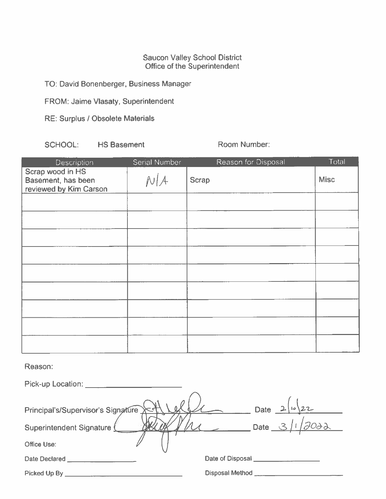# Saucon Valley School District<br>Office of the Superintendent

TO: David Bonenberger, Business Manager

FROM: Jaime Vlasaty, Superintendent

RE: Surplus / Obsolete Materials

**HS Basement** SCHOOL:

Room Number:

| Description                                                      | Serial Number | Reason for Disposal | Total       |
|------------------------------------------------------------------|---------------|---------------------|-------------|
| Scrap wood in HS<br>Basement, has been<br>reviewed by Kim Carson | N/A           | <b>Scrap</b>        | <b>Misc</b> |
|                                                                  |               |                     |             |
|                                                                  |               |                     |             |
|                                                                  |               |                     |             |
|                                                                  |               |                     |             |
|                                                                  |               |                     |             |
|                                                                  |               |                     |             |
|                                                                  |               |                     |             |
|                                                                  |               |                     |             |
|                                                                  |               |                     |             |

Reason:

| Pick-up Location: <u>www.community.com</u> |                                                                                 |
|--------------------------------------------|---------------------------------------------------------------------------------|
| Principal's/Supervisor's Signature X<1     | Date $2\sqrt{22}$                                                               |
| Superintendent Signature                   | $\overline{\phantom{0}}$ Date $\overline{\phantom{0}}$ $\overline{\phantom{0}}$ |
| Office Use:                                |                                                                                 |
| Date Declared _________________            | Date of Disposal ________                                                       |
| Picked Up By _                             | Disposal Method __                                                              |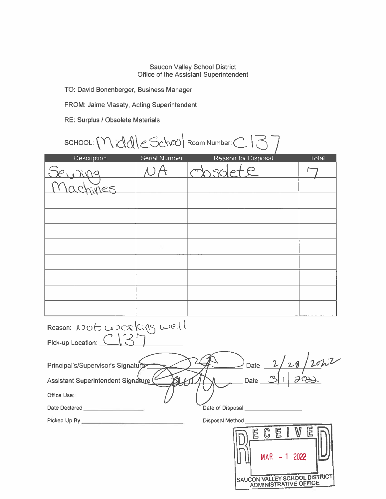# Saucon Valley School District<br>Office of the Assistant Superintendent

TO: David Bonenberger, Business Manager

FROM: Jaime Vlasaty, Acting Superintendent

RE: Surplus / Obsolete Materials

| SCHOOL: Mddle School Room Number: C137 |  |
|----------------------------------------|--|
|----------------------------------------|--|

| Description                                              | Serial Number | Reason for Disposal                        | Total |
|----------------------------------------------------------|---------------|--------------------------------------------|-------|
|                                                          | ЮA            | Chisolete                                  |       |
| nes                                                      |               |                                            |       |
|                                                          |               |                                            |       |
|                                                          |               |                                            |       |
|                                                          |               |                                            |       |
|                                                          |               |                                            |       |
|                                                          |               |                                            |       |
|                                                          |               |                                            |       |
|                                                          |               |                                            |       |
|                                                          |               |                                            |       |
| Reason: Not working well                                 |               |                                            |       |
| Pick-up Location: CI3                                    |               |                                            |       |
|                                                          |               |                                            |       |
| Principal's/Supervisor's Signature                       |               |                                            |       |
| Assistant Superintendent Signature (                     |               | $2$ Date $\frac{2/28}{20}$<br>Date 31 2012 |       |
| Office Use:                                              |               |                                            |       |
| Date Declared ____________________                       |               | Date of Disposal <b>Date of Disposal</b>   |       |
| Picked Up By <b>Container the Container Picked Up By</b> |               | Disposal Method ______                     |       |
|                                                          |               | <b>IBCEIVER</b>                            |       |

| 尼 |                              | F |      | Ē |                               |
|---|------------------------------|---|------|---|-------------------------------|
|   | <b>MAR</b>                   |   | 2022 |   |                               |
|   | <b>ADMINISTRATIVE OFFICE</b> |   |      |   | SAUCON VALLEY SCHOOL DISTRICT |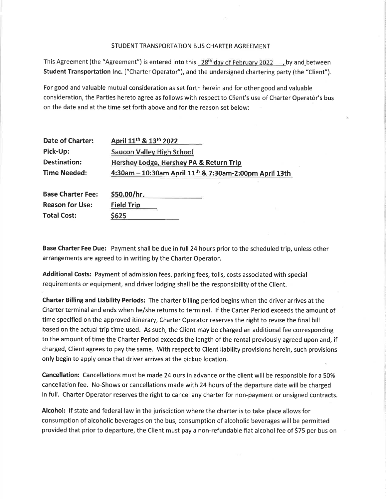#### STUDENT TRANSPORTATION BUS CHARTER AGREEMENT

This Agreement (the "Agreement") is entered into this 28<sup>th</sup> day of February 2022 , by and between Student Transportation Inc. ("Charter Operator"), and the undersigned chartering party (the "Client").

For good and valuable mutual consideration as set forth herein and for other good and valuable consideration, the Parties hereto agree as follows with respect to Client's use of Charter Operator's bus on the date and at the time set forth above and for the reason set below:

| Date of Charter:         | April 11 <sup>th</sup> & 13 <sup>th</sup> 2022                     |
|--------------------------|--------------------------------------------------------------------|
| Pick-Up:                 | <b>Saucon Valley High School</b>                                   |
| <b>Destination:</b>      | Hershey Lodge, Hershey PA & Return Trip                            |
| <b>Time Needed:</b>      | 4:30am - 10:30am April 11 <sup>th</sup> & 7:30am-2:00pm April 13th |
|                          |                                                                    |
| <b>Base Charter Fee:</b> | \$50.00/hr.                                                        |
| <b>Reason for Use:</b>   | <b>Field Trip</b>                                                  |
| <b>Total Cost:</b>       | \$625                                                              |

Base Charter Fee Due: Payment shall be due in full 24 hours prior to the scheduled trip, unless other arrangements are agreed to in writing by the Charter Operator.

Additional Costs: Payment of admission fees, parking fees, tolls, costs associated with special requirements or equipment, and driver lodging shall be the responsibility of the Client.

Charter Billing and Liability Periods: The charter billing period begins when the driver arrives at the Charter terminal and ends when he/she returns to terminal. If the Carter Period exceeds the amount of time specified on the approved itinerary, Charter Operator reserves the right to revise the final bill based on the actual trip time used. As such, the Client may be charged an additional fee corresponding to the amount of time the Charter Period exceeds the length of the rental previously agreed upon and, if charged, Client agrees to pay the same. With respect to Client liability provisions herein, such provisions only begin to apply once that driver arrives at the pickup location.

Cancellation: Cancellations must be made 24 ours in advance or the client will be responsible for a 50% cancellation fee. No-Shows or cancellations made with 24 hours of the departure date will be charged in full. Charter Operator reserves the right to cancel any charter for non-payment or unsigned contracts.

Alcohol: If state and federal law in the jurisdiction where the charter is to take place allows for consumption of alcoholic beverages on the bus, consumption of alcoholic beverages will be permitted provided that prior to departure, the Client must pay a non-refundable flat alcohol fee of \$75 per bus on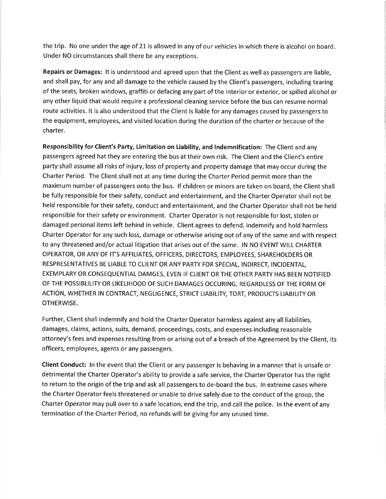the trip. No one under the age of 21 is allowed in any of our vehicles in which there is alcohol on board. Under NO circumstances shall there be any exceptions.

Repairs or Damages: It is understood and agreed upon that the Client as well as passengers are liable, and shall pay, for any and all damage to the vehicle caused by the Client's passengers, including tearing of the seats, broken windows, graffiti or defacing any part of the interior or exterior, or spilled alcohol or any other liquid that would require a professional cleaning service before the bus can resume normal route activities. It is also understood that the Client is liable for any damages caused by passengers to the equipment, employees, and visited location during the duration of the charter or because of the charter.

Responsibility for Client's Party, Limitation on Liability, and Indemnification: The Client and any passengers agreed hat they are entering the bus at their own risk. The Client and the Client's entire party shall assume all risks of injury, loss of property and property damage that may occur during the Charter Period. The Client shall not at any time during the Charter Period permit more than the maximum number of passengers onto the bus. If children or minors are taken on board, the Client shall be fully responsible for their safety, conduct and entertainment, and the Charter Operator shall not be held responsible for their safety, conduct and entertainment, and the Charter Operator shall not be held responsible for their safety or environment. Charter Operator is not responsible for lost, stolen or damaged personal items left behind in vehicle. Client agrees to defend, indemnify and hold harmless Charter Operator for any such loss, damage or otherwise arising out of any of the same and with respect to any threatened and/or actual litigation that arises out of the same. IN NO EVENT WILL CHARTER OPERATOR, OR ANY OF IT'S AFFILIATES, OFFICERS, DIRECTORS, EMPLOYEES, SHAREHOLDERS OR RESPRESENTATIVES BE LIABLE TO CLIENT OR ANY PARTY FOR SPECIAL, INDIRECT, INCIDENTAL, EXEMPLARY OR CONSEQUENTIAL DAMGES, EVEN IF CLIENT OR THE OTHER PARTY HAS BEEN NOTIFIED OF THE POSSIBLILITY OR LIKELIHOOD OF SUCH DAMAGES OCCURING, REGARDLESS OF THE FORM OF ACTION, WHETHER IN CONTRACT, NEGLIGENCE, STRICT LIABILITY, TORT, PRODUCTS LIABILITY OR **OTHERWISE.** 

Further, Client shall indemnify and hold the Charter Operator harmless against any all liabilities, damages, claims, actions, suits, demand, proceedings, costs, and expenses including reasonable attorney's fees and expenses resulting from or arising out of a breach of the Agreement by the Client, its officers, employees, agents or any passengers.

Client Conduct: In the event that the Client or any passenger is behaving in a manner that is unsafe or detrimental the Charter Operator's ability to provide a safe service, the Charter Operator has the right to return to the origin of the trip and ask all passengers to de-board the bus. In extreme cases where the Charter Operator feels threatened or unable to drive safely due to the conduct of the group, the Charter Operator may pull over to a safe location, end the trip, and call the police. In the event of any termination of the Charter Period, no refunds will be giving for any unused time.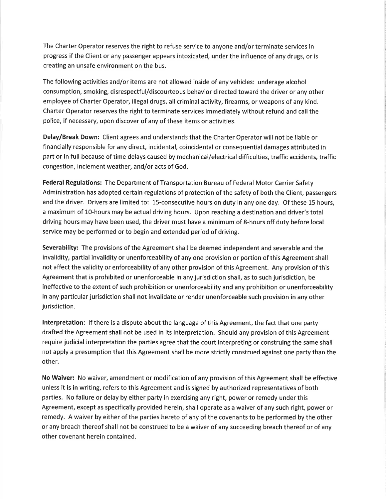The Charter Operator reserves the right to refuse service to anyone and/or terminate services in progress if the Client or any passenger appears intoxicated, under the influence of any drugs, or is creating an unsafe environment on the bus.

The following activities and/or items are not allowed inside of any vehicles: underage alcohol consumption, smoking, disrespectful/discourteous behavior directed toward the driver or any other employee of Charter Operator, illegal drugs, all criminal activity, firearms, or weapons of any kind. Charter Operator reserves the right to terminate services immediately without refund and call the police, if necessary, upon discover of any of these items or activities.

Delay/Break Down: Client agrees and understands that the Charter Operator will not be liable or financially responsible for any direct, incidental, coincidental or consequential damages attributed in part or in full because of time delays caused by mechanical/electrical difficulties, traffic accidents, traffic congestion, inclement weather, and/or acts of God.

Federal Regulations: The Department of Transportation Bureau of Federal Motor Carrier Safety Administration has adopted certain regulations of protection of the safety of both the Client, passengers and the driver. Drivers are limited to: 15-consecutive hours on duty in any one day. Of these 15 hours, a maximum of 10-hours may be actual driving hours. Upon reaching a destination and driver's total driving hours may have been used, the driver must have a minimum of 8-hours off duty before local service may be performed or to begin and extended period of driving.

Severability: The provisions of the Agreement shall be deemed independent and severable and the invalidity, partial invalidity or unenforceability of any one provision or portion of this Agreement shall not affect the validity or enforceability of any other provision of this Agreement. Any provision of this Agreement that is prohibited or unenforceable in any jurisdiction shall, as to such jurisdiction, be ineffective to the extent of such prohibition or unenforceability and any prohibition or unenforceability in any particular jurisdiction shall not invalidate or render unenforceable such provision in any other jurisdiction.

Interpretation: If there is a dispute about the language of this Agreement, the fact that one party drafted the Agreement shall not be used in its interpretation. Should any provision of this Agreement require judicial interpretation the parties agree that the court interpreting or construing the same shall not apply a presumption that this Agreement shall be more strictly construed against one party than the other.

No Waiver: No waiver, amendment or modification of any provision of this Agreement shall be effective unless it is in writing, refers to this Agreement and is signed by authorized representatives of both parties. No failure or delay by either party in exercising any right, power or remedy under this Agreement, except as specifically provided herein, shall operate as a waiver of any such right, power or remedy. A waiver by either of the parties hereto of any of the covenants to be performed by the other or any breach thereof shall not be construed to be a waiver of any succeeding breach thereof or of any other covenant herein contained.